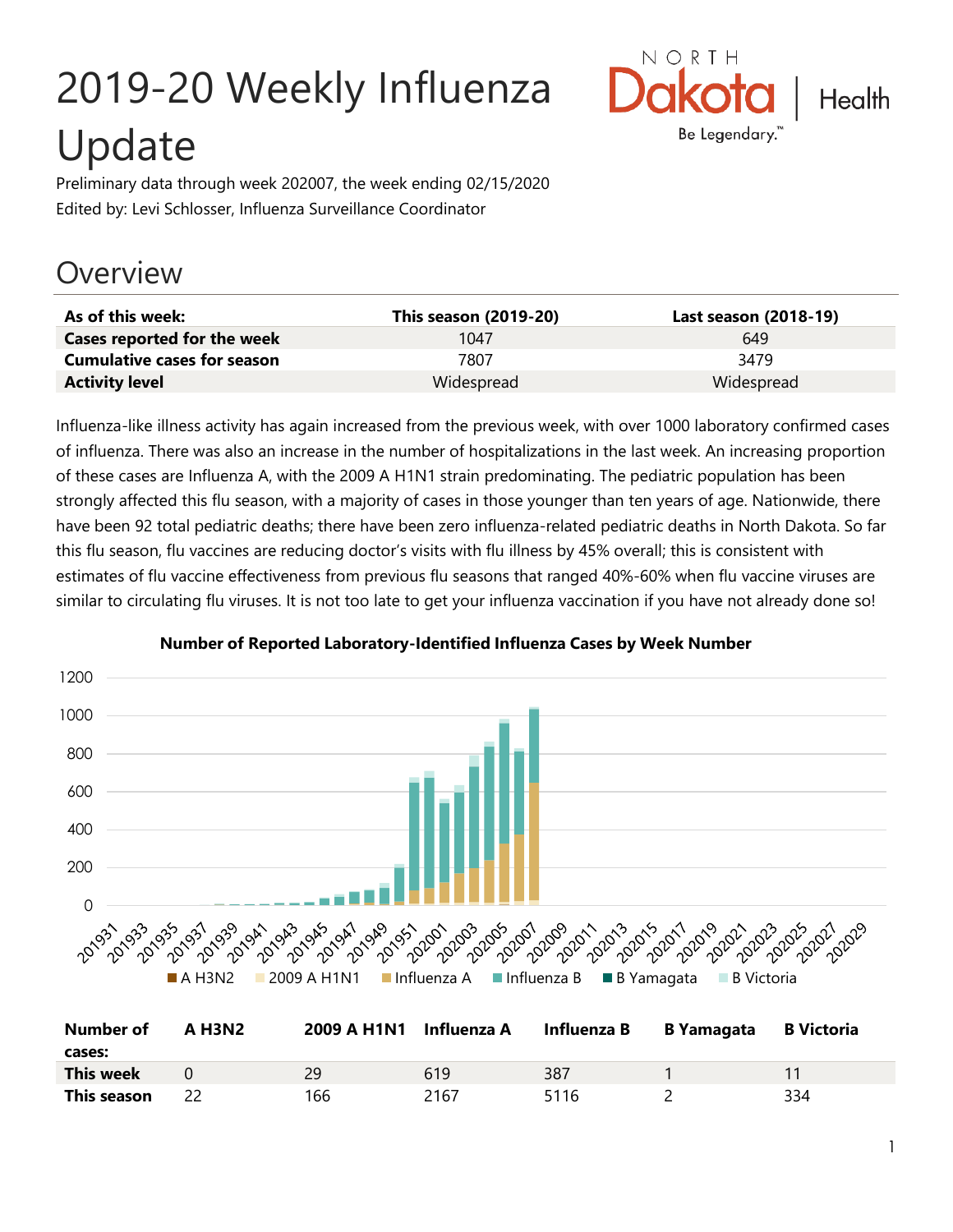# 2019-20 Weekly Influenza Update



Preliminary data through week 202007, the week ending 02/15/2020 Edited by: Levi Schlosser, Influenza Surveillance Coordinator

# **Overview**

| As of this week:                   | <b>This season (2019-20)</b> | Last season (2018-19) |
|------------------------------------|------------------------------|-----------------------|
| Cases reported for the week        | 1047                         | 649                   |
| <b>Cumulative cases for season</b> | 7807                         | 3479                  |
| <b>Activity level</b>              | Widespread                   | Widespread            |

Influenza-like illness activity has again increased from the previous week, with over 1000 laboratory confirmed cases of influenza. There was also an increase in the number of hospitalizations in the last week. An increasing proportion of these cases are Influenza A, with the 2009 A H1N1 strain predominating. The pediatric population has been strongly affected this flu season, with a majority of cases in those younger than ten years of age. Nationwide, there have been 92 total pediatric deaths; there have been zero influenza-related pediatric deaths in North Dakota. So far this flu season, flu vaccines are reducing doctor's visits with flu illness by 45% overall; this is consistent with estimates of flu vaccine effectiveness from previous flu seasons that ranged 40%-60% when flu vaccine viruses are similar to circulating flu viruses. It is not too late to get your influenza vaccination if you have not already done so!



#### **Number of Reported Laboratory-Identified Influenza Cases by Week Number**

| <b>Number of</b> | A H3N2 | 2009 A H1N1 Influenza A |      | Influenza B B Yamagata | <b>B</b> Victoria |
|------------------|--------|-------------------------|------|------------------------|-------------------|
| cases:           |        |                         |      |                        |                   |
| This week        |        | 29                      | 619  | 387                    |                   |
| This season      |        | 166                     | 2167 | 5116                   | 334               |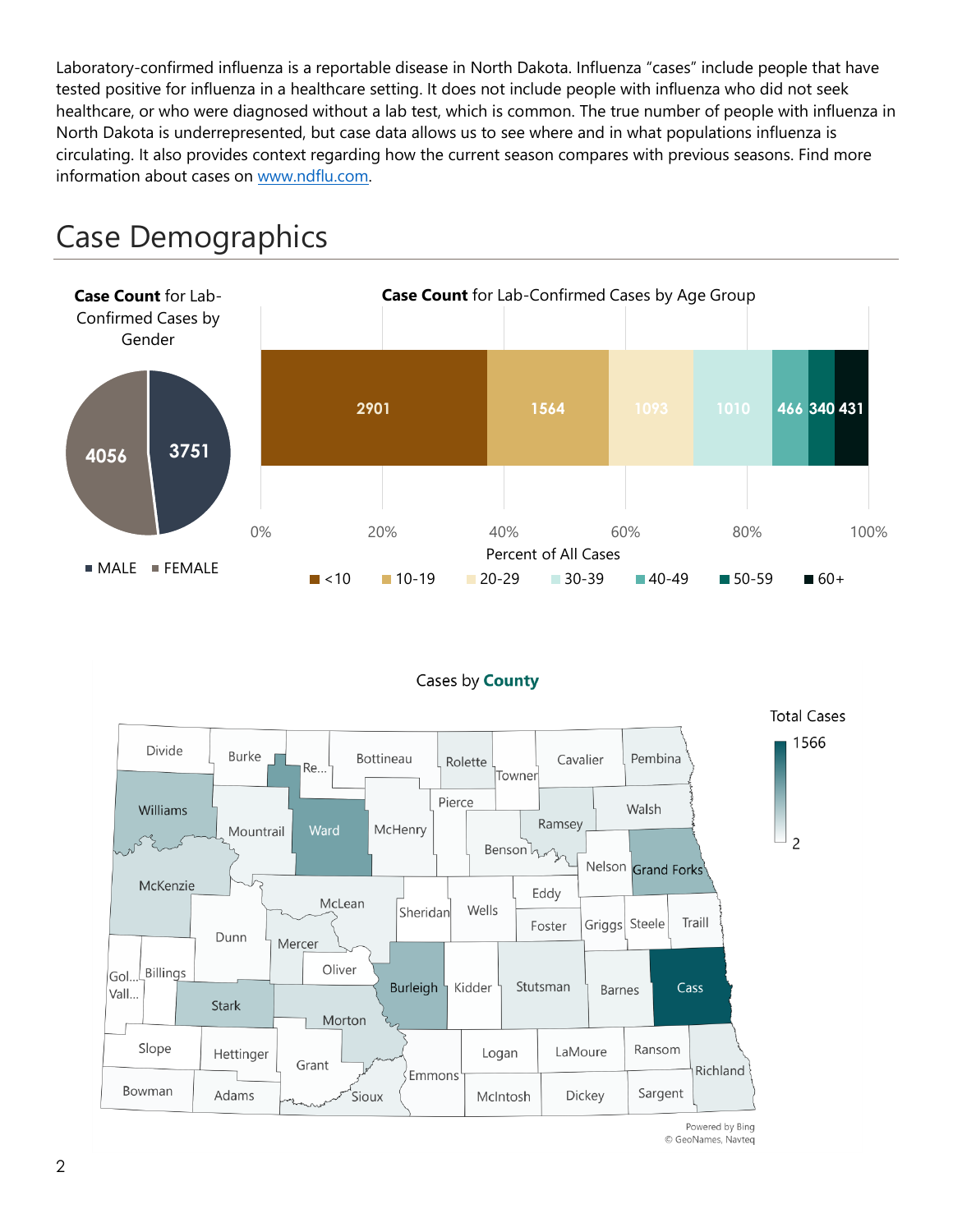Laboratory-confirmed influenza is a reportable disease in North Dakota. Influenza "cases" include people that have tested positive for influenza in a healthcare setting. It does not include people with influenza who did not seek healthcare, or who were diagnosed without a lab test, which is common. The true number of people with influenza in North Dakota is underrepresented, but case data allows us to see where and in what populations influenza is circulating. It also provides context regarding how the current season compares with previous seasons. Find more information about cases on [www.ndflu.com.](file://///nd.gov/doh/DOH-DATA/MSS/DC/PROGRAM/IMMUNE/Immunize/Influenza/Inf18-19/Surveillance/Weekly%20Summaries/www.ndflu.com)







Powered by Bing © GeoNames, Navteq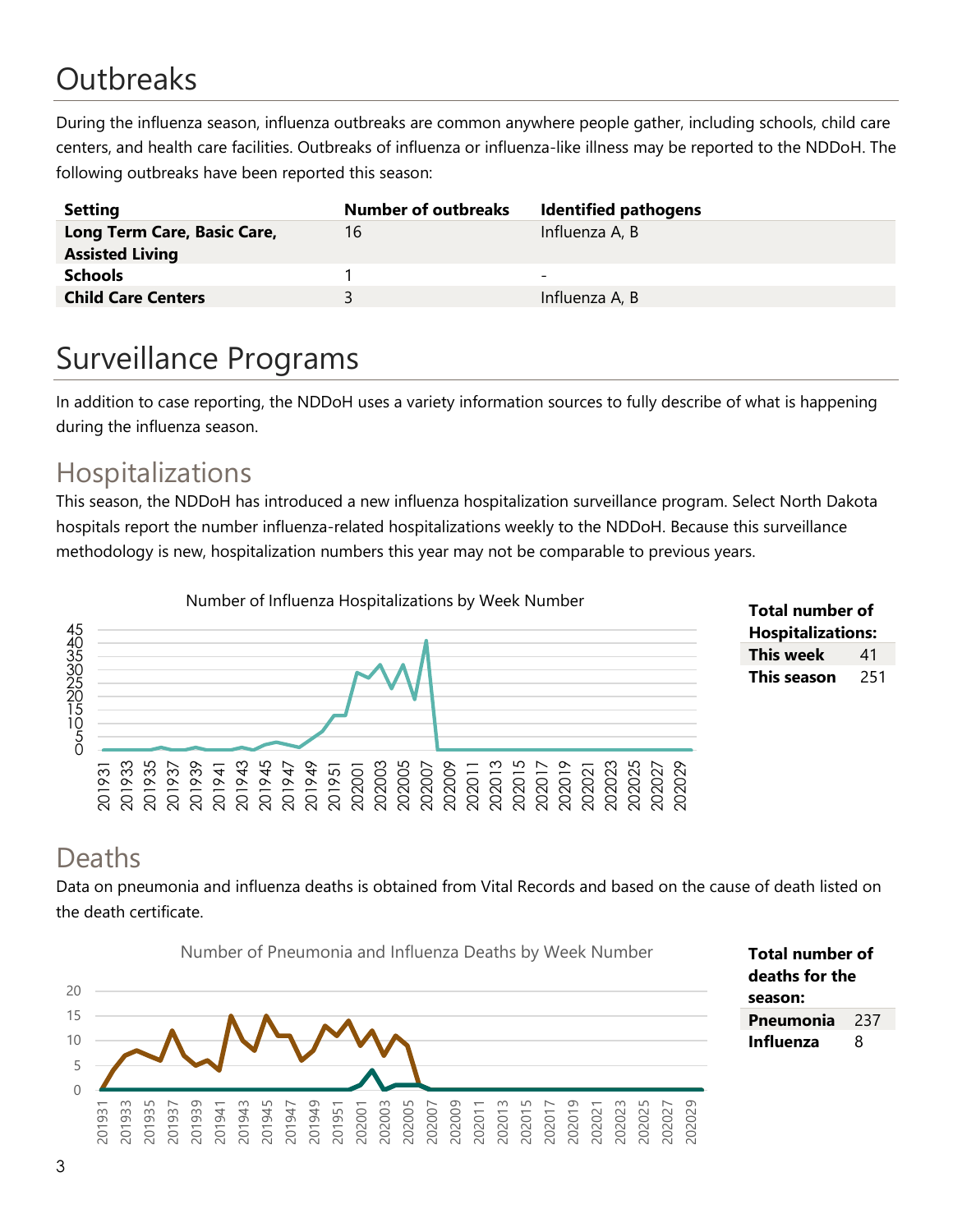# **Outbreaks**

During the influenza season, influenza outbreaks are common anywhere people gather, including schools, child care centers, and health care facilities. Outbreaks of influenza or influenza-like illness may be reported to the NDDoH. The following outbreaks have been reported this season:

| <b>Setting</b>                                        | <b>Number of outbreaks</b> | <b>Identified pathogens</b> |
|-------------------------------------------------------|----------------------------|-----------------------------|
| Long Term Care, Basic Care,<br><b>Assisted Living</b> | 16                         | Influenza A, B              |
| <b>Schools</b>                                        |                            | -                           |
| <b>Child Care Centers</b>                             | ₹                          | Influenza A, B              |

# Surveillance Programs

In addition to case reporting, the NDDoH uses a variety information sources to fully describe of what is happening during the influenza season.

#### Hospitalizations

This season, the NDDoH has introduced a new influenza hospitalization surveillance program. Select North Dakota hospitals report the number influenza-related hospitalizations weekly to the NDDoH. Because this surveillance methodology is new, hospitalization numbers this year may not be comparable to previous years.





#### Deaths

Data on pneumonia and influenza deaths is obtained from Vital Records and based on the cause of death listed on the death certificate.

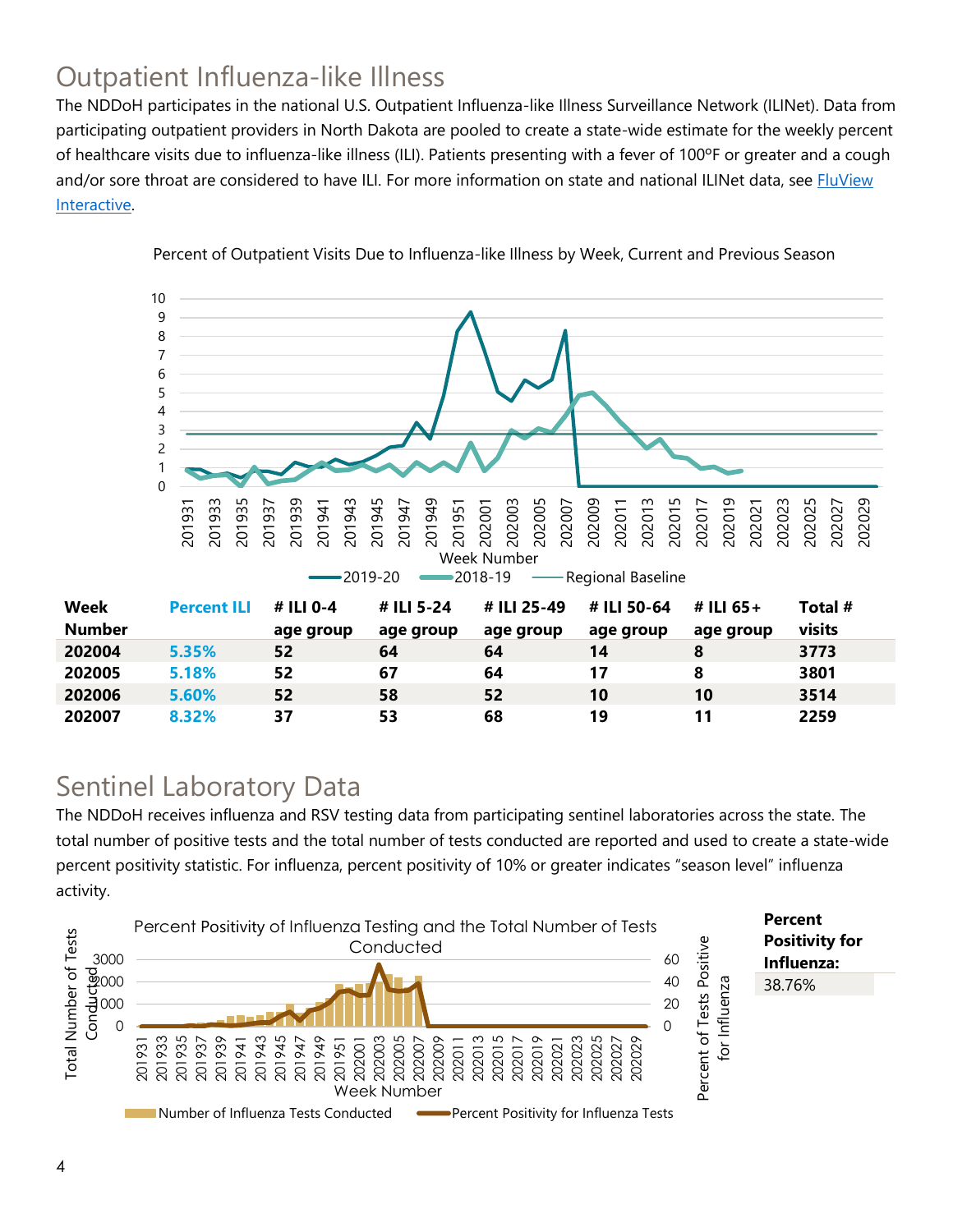## Outpatient Influenza-like Illness

The NDDoH participates in the national U.S. Outpatient Influenza-like Illness Surveillance Network (ILINet). Data from participating outpatient providers in North Dakota are pooled to create a state-wide estimate for the weekly percent of healthcare visits due to influenza-like illness (ILI). Patients presenting with a fever of 100ºF or greater and a cough and/or sore throat are considered to have ILI. For more information on state and national ILINet data, see **FluView** [Interactive.](https://gis.cdc.gov/grasp/fluview/fluportaldashboard.html)



Percent of Outpatient Visits Due to Influenza-like Illness by Week, Current and Previous Season

#### Sentinel Laboratory Data

The NDDoH receives influenza and RSV testing data from participating sentinel laboratories across the state. The total number of positive tests and the total number of tests conducted are reported and used to create a state-wide percent positivity statistic. For influenza, percent positivity of 10% or greater indicates "season level" influenza activity.

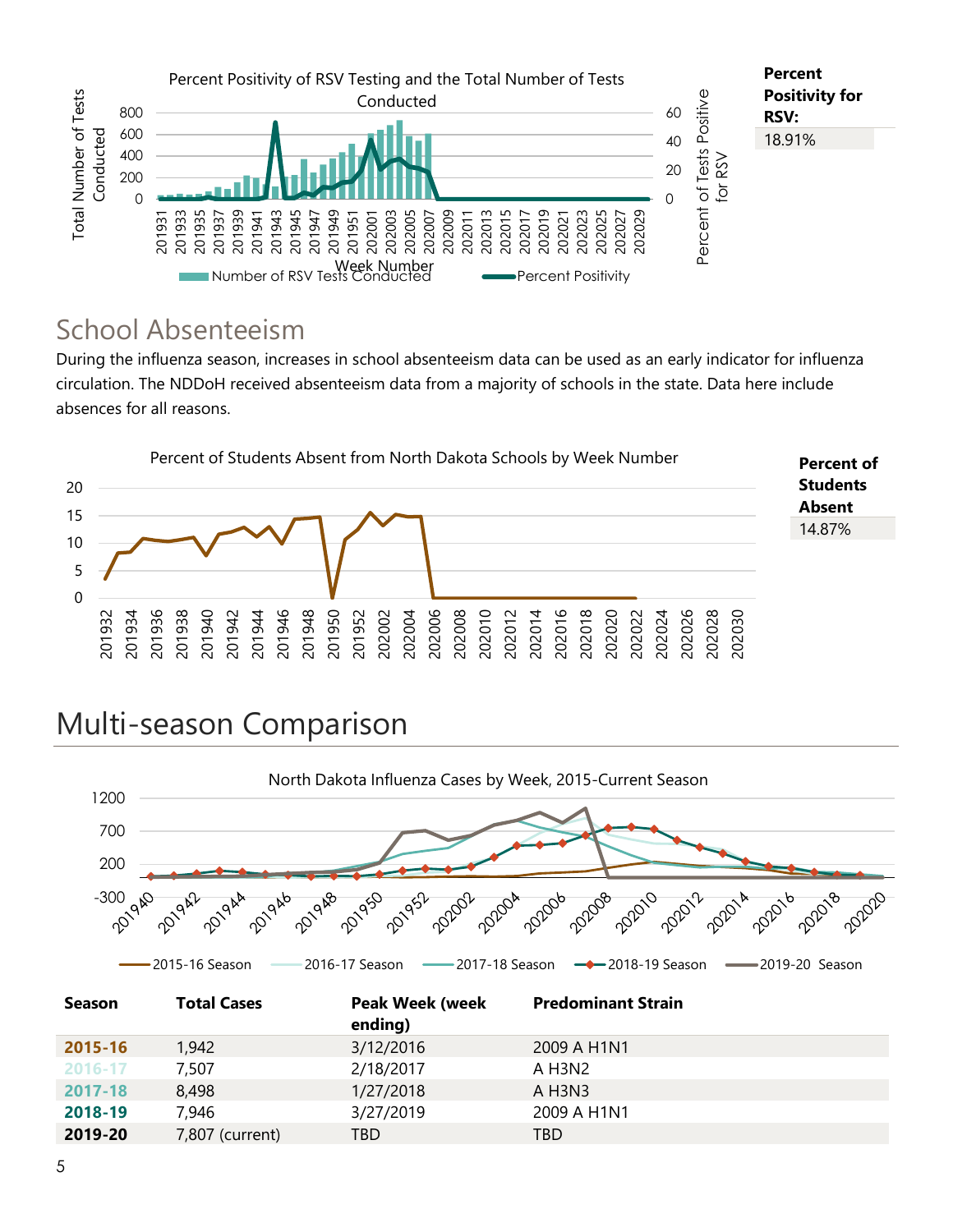

#### School Absenteeism

During the influenza season, increases in school absenteeism data can be used as an early indicator for influenza circulation. The NDDoH received absenteeism data from a majority of schools in the state. Data here include absences for all reasons.



# Multi-season Comparison